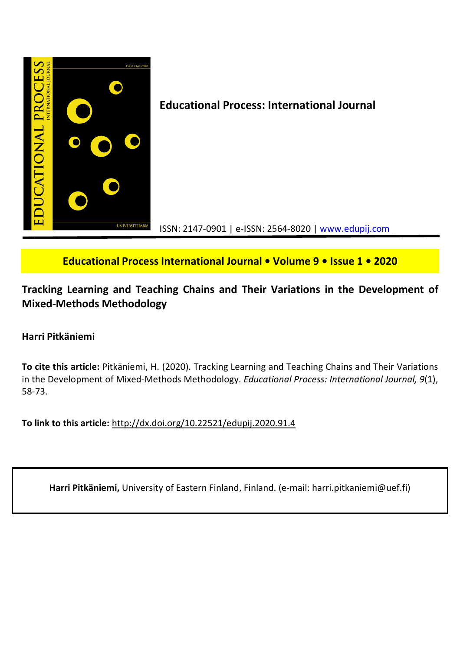

**Educational Process International Journal • Volume 9 • Issue 1 • 2020**

**Tracking Learning and Teaching Chains and Their Variations in the Development of Mixed-Methods Methodology**

# **Harri Pitkäniemi**

**To cite this article:** Pitkäniemi, H. (2020). Tracking Learning and Teaching Chains and Their Variations in the Development of Mixed-Methods Methodology. *Educational Process: International Journal, 9*(1), 58-73.

**To link to this article:** http://dx.doi.org/10.22521/edupij.2020.91.4

**Harri Pitkäniemi,** University of Eastern Finland, Finland. (e-mail: harri.pitkaniemi@uef.fi)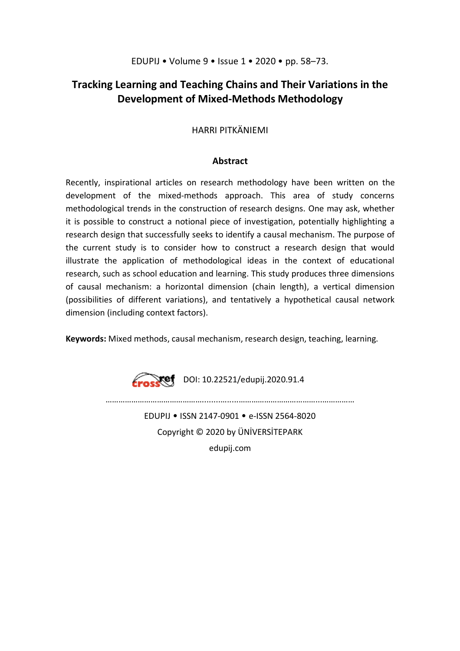# **Tracking Learning and Teaching Chains and Their Variations in the Development of Mixed-Methods Methodology**

# HARRI PITKÄNIEMI

# **Abstract**

Recently, inspirational articles on research methodology have been written on the development of the mixed-methods approach. This area of study concerns methodological trends in the construction of research designs. One may ask, whether it is possible to construct a notional piece of investigation, potentially highlighting a research design that successfully seeks to identify a causal mechanism. The purpose of the current study is to consider how to construct a research design that would illustrate the application of methodological ideas in the context of educational research, such as school education and learning. This study produces three dimensions of causal mechanism: a horizontal dimension (chain length), a vertical dimension (possibilities of different variations), and tentatively a hypothetical causal network dimension (including context factors).

**Keywords:** Mixed methods, causal mechanism, research design, teaching, learning.

 $\sum_{\ell}$  DOI: 10.22521/edupij.2020.91.4

………………………………………........….....………………………………...…………… EDUPIJ • ISSN 2147-0901 • e-ISSN 2564-8020

> Copyright © 2020 by ÜNİVERSİTEPARK edupij.com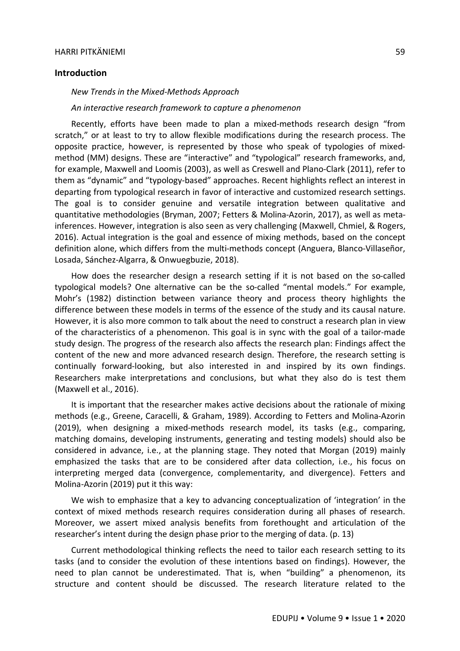### **Introduction**

#### *New Trends in the Mixed-Methods Approach*

*An interactive research framework to capture a phenomenon*

Recently, efforts have been made to plan a mixed-methods research design "from scratch," or at least to try to allow flexible modifications during the research process. The opposite practice, however, is represented by those who speak of typologies of mixedmethod (MM) designs. These are "interactive" and "typological" research frameworks, and, for example, Maxwell and Loomis (2003), as well as Creswell and Plano-Clark (2011), refer to them as "dynamic" and "typology-based" approaches. Recent highlights reflect an interest in departing from typological research in favor of interactive and customized research settings. The goal is to consider genuine and versatile integration between qualitative and quantitative methodologies (Bryman, 2007; Fetters & Molina-Azorin, 2017), as well as metainferences. However, integration is also seen as very challenging (Maxwell, Chmiel, & Rogers, 2016). Actual integration is the goal and essence of mixing methods, based on the concept definition alone, which differs from the multi-methods concept (Anguera, Blanco-Villaseñor, Losada, Sánchez-Algarra, & Onwuegbuzie, 2018).

How does the researcher design a research setting if it is not based on the so-called typological models? One alternative can be the so-called "mental models." For example, Mohr's (1982) distinction between variance theory and process theory highlights the difference between these models in terms of the essence of the study and its causal nature. However, it is also more common to talk about the need to construct a research plan in view of the characteristics of a phenomenon. This goal is in sync with the goal of a tailor-made study design. The progress of the research also affects the research plan: Findings affect the content of the new and more advanced research design. Therefore, the research setting is continually forward-looking, but also interested in and inspired by its own findings. Researchers make interpretations and conclusions, but what they also do is test them (Maxwell et al., 2016).

It is important that the researcher makes active decisions about the rationale of mixing methods (e.g., Greene, Caracelli, & Graham, 1989). According to Fetters and Molina-Azorin (2019), when designing a mixed-methods research model, its tasks (e.g., comparing, matching domains, developing instruments, generating and testing models) should also be considered in advance, i.e., at the planning stage. They noted that Morgan (2019) mainly emphasized the tasks that are to be considered after data collection, i.e., his focus on interpreting merged data (convergence, complementarity, and divergence). Fetters and Molina-Azorin (2019) put it this way:

We wish to emphasize that a key to advancing conceptualization of 'integration' in the context of mixed methods research requires consideration during all phases of research. Moreover, we assert mixed analysis benefits from forethought and articulation of the researcher's intent during the design phase prior to the merging of data. (p. 13)

Current methodological thinking reflects the need to tailor each research setting to its tasks (and to consider the evolution of these intentions based on findings). However, the need to plan cannot be underestimated. That is, when "building" a phenomenon, its structure and content should be discussed. The research literature related to the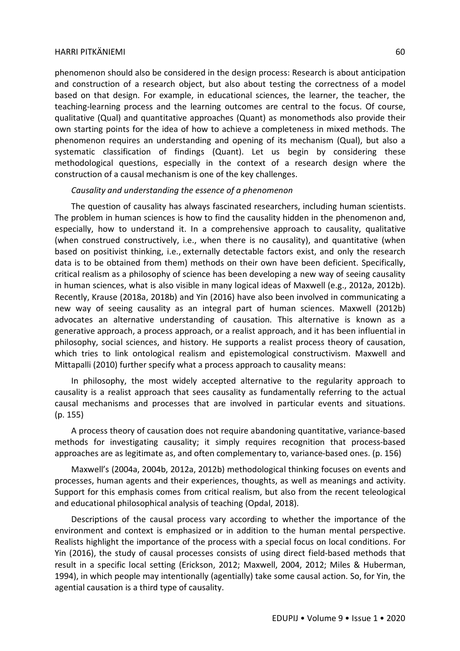phenomenon should also be considered in the design process: Research is about anticipation and construction of a research object, but also about testing the correctness of a model based on that design. For example, in educational sciences, the learner, the teacher, the teaching-learning process and the learning outcomes are central to the focus. Of course, qualitative (Qual) and quantitative approaches (Quant) as monomethods also provide their own starting points for the idea of how to achieve a completeness in mixed methods. The phenomenon requires an understanding and opening of its mechanism (Qual), but also a systematic classification of findings (Quant). Let us begin by considering these methodological questions, especially in the context of a research design where the construction of a causal mechanism is one of the key challenges.

## *Causality and understanding the essence of a phenomenon*

The question of causality has always fascinated researchers, including human scientists. The problem in human sciences is how to find the causality hidden in the phenomenon and, especially, how to understand it. In a comprehensive approach to causality, qualitative (when construed constructively, i.e., when there is no causality), and quantitative (when based on positivist thinking, i.e., externally detectable factors exist, and only the research data is to be obtained from them) methods on their own have been deficient. Specifically, critical realism as a philosophy of science has been developing a new way of seeing causality in human sciences, what is also visible in many logical ideas of Maxwell (e.g., 2012a, 2012b). Recently, Krause (2018a, 2018b) and Yin (2016) have also been involved in communicating a new way of seeing causality as an integral part of human sciences. Maxwell (2012b) advocates an alternative understanding of causation. This alternative is known as a generative approach, a process approach, or a realist approach, and it has been influential in philosophy, social sciences, and history. He supports a realist process theory of causation, which tries to link ontological realism and epistemological constructivism. Maxwell and Mittapalli (2010) further specify what a process approach to causality means:

In philosophy, the most widely accepted alternative to the regularity approach to causality is a realist approach that sees causality as fundamentally referring to the actual causal mechanisms and processes that are involved in particular events and situations. (p. 155)

A process theory of causation does not require abandoning quantitative, variance-based methods for investigating causality; it simply requires recognition that process-based approaches are as legitimate as, and often complementary to, variance-based ones. (p. 156)

Maxwell's (2004a, 2004b, 2012a, 2012b) methodological thinking focuses on events and processes, human agents and their experiences, thoughts, as well as meanings and activity. Support for this emphasis comes from critical realism, but also from the recent teleological and educational philosophical analysis of teaching (Opdal, 2018).

Descriptions of the causal process vary according to whether the importance of the environment and context is emphasized or in addition to the human mental perspective. Realists highlight the importance of the process with a special focus on local conditions. For Yin (2016), the study of causal processes consists of using direct field-based methods that result in a specific local setting (Erickson, 2012; Maxwell, 2004, 2012; Miles & Huberman, 1994), in which people may intentionally (agentially) take some causal action. So, for Yin, the agential causation is a third type of causality.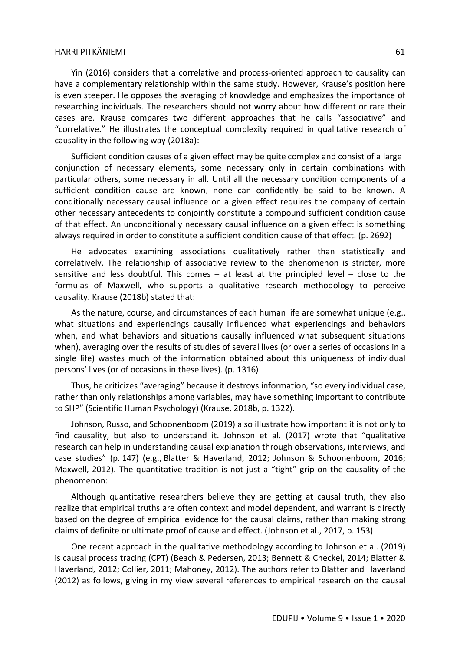Yin (2016) considers that a correlative and process-oriented approach to causality can have a complementary relationship within the same study. However, Krause's position here is even steeper. He opposes the averaging of knowledge and emphasizes the importance of researching individuals. The researchers should not worry about how different or rare their cases are. Krause compares two different approaches that he calls "associative" and "correlative." He illustrates the conceptual complexity required in qualitative research of causality in the following way (2018a):

Sufficient condition causes of a given effect may be quite complex and consist of a large conjunction of necessary elements, some necessary only in certain combinations with particular others, some necessary in all. Until all the necessary condition components of a sufficient condition cause are known, none can confidently be said to be known. A conditionally necessary causal influence on a given effect requires the company of certain other necessary antecedents to conjointly constitute a compound sufficient condition cause of that effect. An unconditionally necessary causal influence on a given effect is something always required in order to constitute a sufficient condition cause of that effect. (p. 2692)

He advocates examining associations qualitatively rather than statistically and correlatively. The relationship of associative review to the phenomenon is stricter, more sensitive and less doubtful. This comes – at least at the principled level – close to the formulas of Maxwell, who supports a qualitative research methodology to perceive causality. Krause (2018b) stated that:

As the nature, course, and circumstances of each human life are somewhat unique (e.g., what situations and experiencings causally influenced what experiencings and behaviors when, and what behaviors and situations causally influenced what subsequent situations when), averaging over the results of studies of several lives (or over a series of occasions in a single life) wastes much of the information obtained about this uniqueness of individual persons' lives (or of occasions in these lives). (p. 1316)

Thus, he criticizes "averaging" because it destroys information, "so every individual case, rather than only relationships among variables, may have something important to contribute to SHP" (Scientific Human Psychology) (Krause, 2018b, p. 1322).

Johnson, Russo, and Schoonenboom (2019) also illustrate how important it is not only to find causality, but also to understand it. Johnson et al. (2017) wrote that "qualitative research can help in understanding causal explanation through observations, interviews, and case studies" (p. 147) (e.g., Blatter & Haverland, 2012; Johnson & Schoonenboom, 2016; Maxwell, 2012). The quantitative tradition is not just a "tight" grip on the causality of the phenomenon:

Although quantitative researchers believe they are getting at causal truth, they also realize that empirical truths are often context and model dependent, and warrant is directly based on the degree of empirical evidence for the causal claims, rather than making strong claims of definite or ultimate proof of cause and effect. (Johnson et al., 2017, p. 153)

One recent approach in the qualitative methodology according to Johnson et al. (2019) is causal process tracing (CPT) (Beach & Pedersen, 2013; Bennett & Checkel, 2014; Blatter & Haverland, 2012; Collier, 2011; Mahoney, 2012). The authors refer to Blatter and Haverland (2012) as follows, giving in my view several references to empirical research on the causal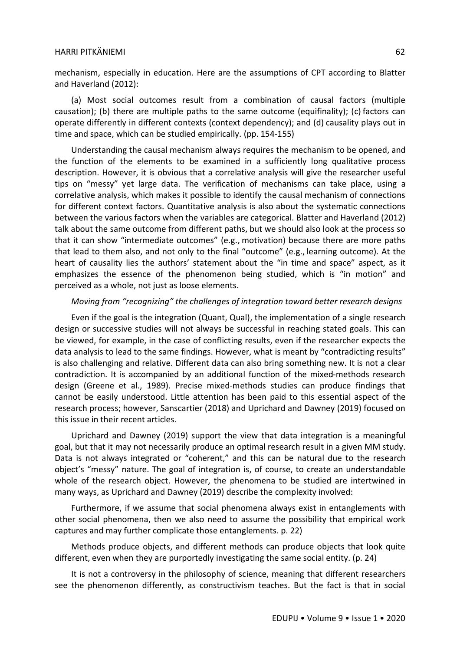mechanism, especially in education. Here are the assumptions of CPT according to Blatter and Haverland (2012):

(a) Most social outcomes result from a combination of causal factors (multiple causation); (b) there are multiple paths to the same outcome (equifinality); (c) factors can operate differently in different contexts (context dependency); and (d) causality plays out in time and space, which can be studied empirically. (pp. 154-155)

Understanding the causal mechanism always requires the mechanism to be opened, and the function of the elements to be examined in a sufficiently long qualitative process description. However, it is obvious that a correlative analysis will give the researcher useful tips on "messy" yet large data. The verification of mechanisms can take place, using a correlative analysis, which makes it possible to identify the causal mechanism of connections for different context factors. Quantitative analysis is also about the systematic connections between the various factors when the variables are categorical. Blatter and Haverland (2012) talk about the same outcome from different paths, but we should also look at the process so that it can show "intermediate outcomes" (e.g., motivation) because there are more paths that lead to them also, and not only to the final "outcome" (e.g., learning outcome). At the heart of causality lies the authors' statement about the "in time and space" aspect, as it emphasizes the essence of the phenomenon being studied, which is "in motion" and perceived as a whole, not just as loose elements.

# *Moving from "recognizing" the challenges of integration toward better research designs*

Even if the goal is the integration (Quant, Qual), the implementation of a single research design or successive studies will not always be successful in reaching stated goals. This can be viewed, for example, in the case of conflicting results, even if the researcher expects the data analysis to lead to the same findings. However, what is meant by "contradicting results" is also challenging and relative. Different data can also bring something new. It is not a clear contradiction. It is accompanied by an additional function of the mixed-methods research design (Greene et al., 1989). Precise mixed-methods studies can produce findings that cannot be easily understood. Little attention has been paid to this essential aspect of the research process; however, Sanscartier (2018) and Uprichard and Dawney (2019) focused on this issue in their recent articles.

Uprichard and Dawney (2019) support the view that data integration is a meaningful goal, but that it may not necessarily produce an optimal research result in a given MM study. Data is not always integrated or "coherent," and this can be natural due to the research object's "messy" nature. The goal of integration is, of course, to create an understandable whole of the research object. However, the phenomena to be studied are intertwined in many ways, as Uprichard and Dawney (2019) describe the complexity involved:

Furthermore, if we assume that social phenomena always exist in entanglements with other social phenomena, then we also need to assume the possibility that empirical work captures and may further complicate those entanglements. p. 22)

Methods produce objects, and different methods can produce objects that look quite different, even when they are purportedly investigating the same social entity. (p. 24)

It is not a controversy in the philosophy of science, meaning that different researchers see the phenomenon differently, as constructivism teaches. But the fact is that in social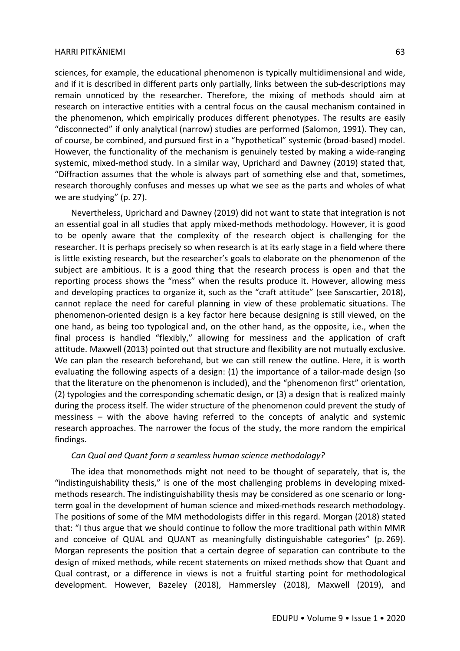sciences, for example, the educational phenomenon is typically multidimensional and wide, and if it is described in different parts only partially, links between the sub-descriptions may remain unnoticed by the researcher. Therefore, the mixing of methods should aim at research on interactive entities with a central focus on the causal mechanism contained in the phenomenon, which empirically produces different phenotypes. The results are easily "disconnected" if only analytical (narrow) studies are performed (Salomon, 1991). They can, of course, be combined, and pursued first in a "hypothetical" systemic (broad-based) model. However, the functionality of the mechanism is genuinely tested by making a wide-ranging systemic, mixed-method study. In a similar way, Uprichard and Dawney (2019) stated that, "Diffraction assumes that the whole is always part of something else and that, sometimes, research thoroughly confuses and messes up what we see as the parts and wholes of what we are studying" (p. 27).

Nevertheless, Uprichard and Dawney (2019) did not want to state that integration is not an essential goal in all studies that apply mixed-methods methodology. However, it is good to be openly aware that the complexity of the research object is challenging for the researcher. It is perhaps precisely so when research is at its early stage in a field where there is little existing research, but the researcher's goals to elaborate on the phenomenon of the subject are ambitious. It is a good thing that the research process is open and that the reporting process shows the "mess" when the results produce it. However, allowing mess and developing practices to organize it, such as the "craft attitude" (see Sanscartier, 2018). cannot replace the need for careful planning in view of these problematic situations. The phenomenon-oriented design is a key factor here because designing is still viewed, on the one hand, as being too typological and, on the other hand, as the opposite, i.e., when the final process is handled "flexibly," allowing for messiness and the application of craft attitude. Maxwell (2013) pointed out that structure and flexibility are not mutually exclusive. We can plan the research beforehand, but we can still renew the outline. Here, it is worth evaluating the following aspects of a design: (1) the importance of a tailor-made design (so that the literature on the phenomenon is included), and the "phenomenon first" orientation, (2) typologies and the corresponding schematic design, or (3) a design that is realized mainly during the process itself. The wider structure of the phenomenon could prevent the study of messiness – with the above having referred to the concepts of analytic and systemic research approaches. The narrower the focus of the study, the more random the empirical findings.

#### *Can Qual and Quant form a seamless human science methodology?*

The idea that monomethods might not need to be thought of separately, that is, the "indistinguishability thesis," is one of the most challenging problems in developing mixedmethods research. The indistinguishability thesis may be considered as one scenario or longterm goal in the development of human science and mixed-methods research methodology. The positions of some of the MM methodologists differ in this regard. Morgan (2018) stated that: "I thus argue that we should continue to follow the more traditional path within MMR and conceive of QUAL and QUANT as meaningfully distinguishable categories" (p. 269). Morgan represents the position that a certain degree of separation can contribute to the design of mixed methods, while recent statements on mixed methods show that Quant and Qual contrast, or a difference in views is not a fruitful starting point for methodological development. However, Bazeley (2018), Hammersley (2018), Maxwell (2019), and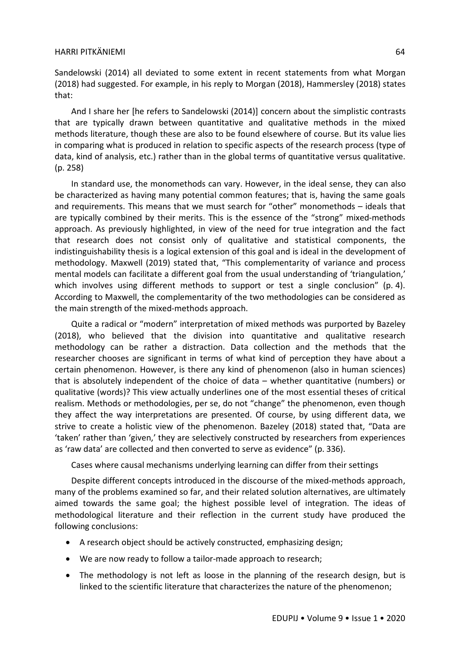Sandelowski (2014) all deviated to some extent in recent statements from what Morgan (2018) had suggested. For example, in his reply to Morgan (2018), Hammersley (2018) states that:

And I share her [he refers to Sandelowski (2014)] concern about the simplistic contrasts that are typically drawn between quantitative and qualitative methods in the mixed methods literature, though these are also to be found elsewhere of course. But its value lies in comparing what is produced in relation to specific aspects of the research process (type of data, kind of analysis, etc.) rather than in the global terms of quantitative versus qualitative. (p. 258)

In standard use, the monomethods can vary. However, in the ideal sense, they can also be characterized as having many potential common features; that is, having the same goals and requirements. This means that we must search for "other" monomethods – ideals that are typically combined by their merits. This is the essence of the "strong" mixed-methods approach. As previously highlighted, in view of the need for true integration and the fact that research does not consist only of qualitative and statistical components, the indistinguishability thesis is a logical extension of this goal and is ideal in the development of methodology. Maxwell (2019) stated that, "This complementarity of variance and process mental models can facilitate a different goal from the usual understanding of 'triangulation,' which involves using different methods to support or test a single conclusion" (p. 4). According to Maxwell, the complementarity of the two methodologies can be considered as the main strength of the mixed-methods approach.

Quite a radical or "modern" interpretation of mixed methods was purported by Bazeley (2018), who believed that the division into quantitative and qualitative research methodology can be rather a distraction. Data collection and the methods that the researcher chooses are significant in terms of what kind of perception they have about a certain phenomenon. However, is there any kind of phenomenon (also in human sciences) that is absolutely independent of the choice of data – whether quantitative (numbers) or qualitative (words)? This view actually underlines one of the most essential theses of critical realism. Methods or methodologies, per se, do not "change" the phenomenon, even though they affect the way interpretations are presented. Of course, by using different data, we strive to create a holistic view of the phenomenon. Bazeley (2018) stated that, "Data are 'taken' rather than 'given,' they are selectively constructed by researchers from experiences as 'raw data' are collected and then converted to serve as evidence" (p. 336).

Cases where causal mechanisms underlying learning can differ from their settings

Despite different concepts introduced in the discourse of the mixed-methods approach, many of the problems examined so far, and their related solution alternatives, are ultimately aimed towards the same goal; the highest possible level of integration. The ideas of methodological literature and their reflection in the current study have produced the following conclusions:

- A research object should be actively constructed, emphasizing design;
- We are now ready to follow a tailor-made approach to research;
- The methodology is not left as loose in the planning of the research design, but is linked to the scientific literature that characterizes the nature of the phenomenon;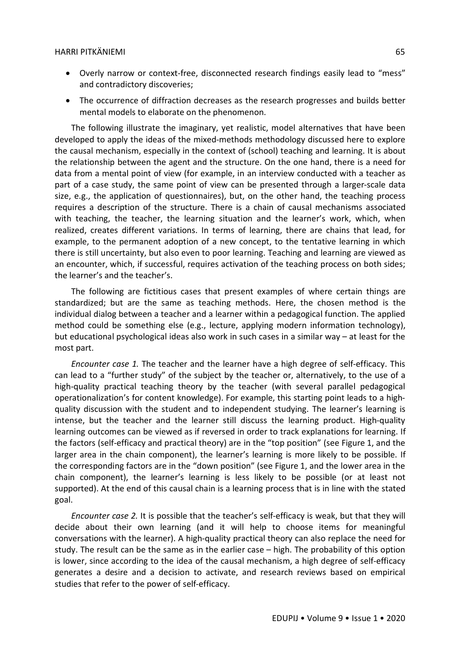- Overly narrow or context-free, disconnected research findings easily lead to "mess" and contradictory discoveries;
- The occurrence of diffraction decreases as the research progresses and builds better mental models to elaborate on the phenomenon.

The following illustrate the imaginary, yet realistic, model alternatives that have been developed to apply the ideas of the mixed-methods methodology discussed here to explore the causal mechanism, especially in the context of (school) teaching and learning. It is about the relationship between the agent and the structure. On the one hand, there is a need for data from a mental point of view (for example, in an interview conducted with a teacher as part of a case study, the same point of view can be presented through a larger-scale data size, e.g., the application of questionnaires), but, on the other hand, the teaching process requires a description of the structure. There is a chain of causal mechanisms associated with teaching, the teacher, the learning situation and the learner's work, which, when realized, creates different variations. In terms of learning, there are chains that lead, for example, to the permanent adoption of a new concept, to the tentative learning in which there is still uncertainty, but also even to poor learning. Teaching and learning are viewed as an encounter, which, if successful, requires activation of the teaching process on both sides; the learner's and the teacher's.

The following are fictitious cases that present examples of where certain things are standardized; but are the same as teaching methods. Here, the chosen method is the individual dialog between a teacher and a learner within a pedagogical function. The applied method could be something else (e.g., lecture, applying modern information technology), but educational psychological ideas also work in such cases in a similar way – at least for the most part.

*Encounter case 1.* The teacher and the learner have a high degree of self-efficacy. This can lead to a "further study" of the subject by the teacher or, alternatively, to the use of a high-quality practical teaching theory by the teacher (with several parallel pedagogical operationalization's for content knowledge). For example, this starting point leads to a highquality discussion with the student and to independent studying. The learner's learning is intense, but the teacher and the learner still discuss the learning product. High-quality learning outcomes can be viewed as if reversed in order to track explanations for learning. If the factors (self-efficacy and practical theory) are in the "top position" (see Figure 1, and the larger area in the chain component), the learner's learning is more likely to be possible. If the corresponding factors are in the "down position" (see Figure 1, and the lower area in the chain component), the learner's learning is less likely to be possible (or at least not supported). At the end of this causal chain is a learning process that is in line with the stated goal.

*Encounter case 2.* It is possible that the teacher's self-efficacy is weak, but that they will decide about their own learning (and it will help to choose items for meaningful conversations with the learner). A high-quality practical theory can also replace the need for study. The result can be the same as in the earlier case – high. The probability of this option is lower, since according to the idea of the causal mechanism, a high degree of self-efficacy generates a desire and a decision to activate, and research reviews based on empirical studies that refer to the power of self-efficacy.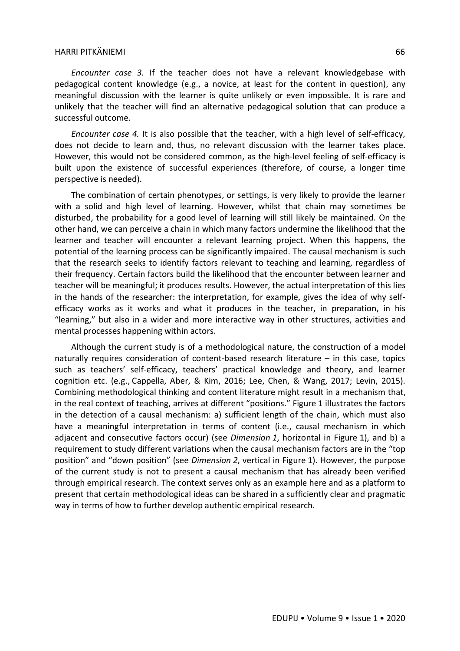*Encounter case 3.* If the teacher does not have a relevant knowledgebase with pedagogical content knowledge (e.g., a novice, at least for the content in question), any meaningful discussion with the learner is quite unlikely or even impossible. It is rare and unlikely that the teacher will find an alternative pedagogical solution that can produce a successful outcome.

*Encounter case 4.* It is also possible that the teacher, with a high level of self-efficacy, does not decide to learn and, thus, no relevant discussion with the learner takes place. However, this would not be considered common, as the high-level feeling of self-efficacy is built upon the existence of successful experiences (therefore, of course, a longer time perspective is needed).

The combination of certain phenotypes, or settings, is very likely to provide the learner with a solid and high level of learning. However, whilst that chain may sometimes be disturbed, the probability for a good level of learning will still likely be maintained. On the other hand, we can perceive a chain in which many factors undermine the likelihood that the learner and teacher will encounter a relevant learning project. When this happens, the potential of the learning process can be significantly impaired. The causal mechanism is such that the research seeks to identify factors relevant to teaching and learning, regardless of their frequency. Certain factors build the likelihood that the encounter between learner and teacher will be meaningful; it produces results. However, the actual interpretation of this lies in the hands of the researcher: the interpretation, for example, gives the idea of why selfefficacy works as it works and what it produces in the teacher, in preparation, in his "learning," but also in a wider and more interactive way in other structures, activities and mental processes happening within actors.

Although the current study is of a methodological nature, the construction of a model naturally requires consideration of content-based research literature – in this case, topics such as teachers' self-efficacy, teachers' practical knowledge and theory, and learner cognition etc. (e.g., Cappella, Aber, & Kim, 2016; Lee, Chen, & Wang, 2017; Levin, 2015). Combining methodological thinking and content literature might result in a mechanism that, in the real context of teaching, arrives at different "positions." Figure 1 illustrates the factors in the detection of a causal mechanism: a) sufficient length of the chain, which must also have a meaningful interpretation in terms of content (i.e., causal mechanism in which adjacent and consecutive factors occur) (see *Dimension 1*, horizontal in Figure 1), and b) a requirement to study different variations when the causal mechanism factors are in the "top position" and "down position" (see *Dimension 2*, vertical in Figure 1). However, the purpose of the current study is not to present a causal mechanism that has already been verified through empirical research. The context serves only as an example here and as a platform to present that certain methodological ideas can be shared in a sufficiently clear and pragmatic way in terms of how to further develop authentic empirical research.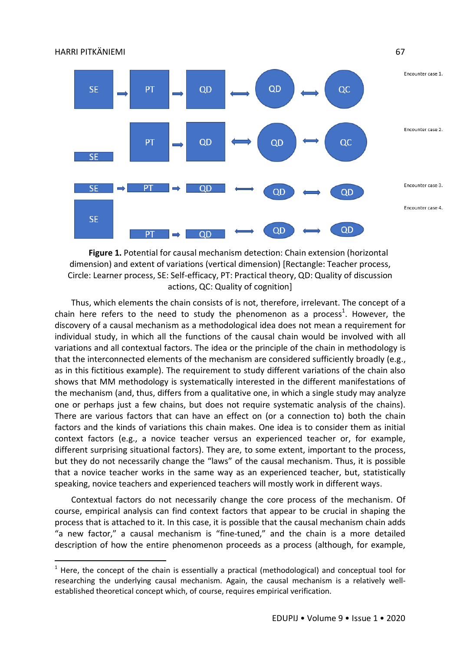

**Figure 1.** Potential for causal mechanism detection: Chain extension (horizontal dimension) and extent of variations (vertical dimension) [Rectangle: Teacher process, Circle: Learner process, SE: Self-efficacy, PT: Practical theory, QD: Quality of discussion actions, QC: Quality of cognition]

Thus, which elements the chain consists of is not, therefore, irrelevant. The concept of a chain here refers to the need to study the phenomenon as a process<sup>1</sup>. However, the discovery of a causal mechanism as a methodological idea does not mean a requirement for individual study, in which all the functions of the causal chain would be involved with all variations and all contextual factors. The idea or the principle of the chain in methodology is that the interconnected elements of the mechanism are considered sufficiently broadly (e.g., as in this fictitious example). The requirement to study different variations of the chain also shows that MM methodology is systematically interested in the different manifestations of the mechanism (and, thus, differs from a qualitative one, in which a single study may analyze one or perhaps just a few chains, but does not require systematic analysis of the chains). There are various factors that can have an effect on (or a connection to) both the chain factors and the kinds of variations this chain makes. One idea is to consider them as initial context factors (e.g., a novice teacher versus an experienced teacher or, for example, different surprising situational factors). They are, to some extent, important to the process, but they do not necessarily change the "laws" of the causal mechanism. Thus, it is possible that a novice teacher works in the same way as an experienced teacher, but, statistically speaking, novice teachers and experienced teachers will mostly work in different ways.

Contextual factors do not necessarily change the core process of the mechanism. Of course, empirical analysis can find context factors that appear to be crucial in shaping the process that is attached to it. In this case, it is possible that the causal mechanism chain adds "a new factor," a causal mechanism is "fine-tuned," and the chain is a more detailed description of how the entire phenomenon proceeds as a process (although, for example,

 $\overline{a}$ 

 $1$  Here, the concept of the chain is essentially a practical (methodological) and conceptual tool for researching the underlying causal mechanism. Again, the causal mechanism is a relatively wellestablished theoretical concept which, of course, requires empirical verification.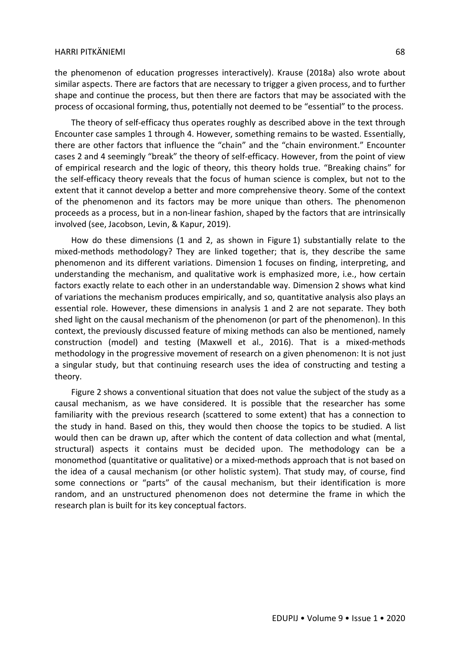the phenomenon of education progresses interactively). Krause (2018a) also wrote about similar aspects. There are factors that are necessary to trigger a given process, and to further shape and continue the process, but then there are factors that may be associated with the process of occasional forming, thus, potentially not deemed to be "essential" to the process.

The theory of self-efficacy thus operates roughly as described above in the text through Encounter case samples 1 through 4. However, something remains to be wasted. Essentially, there are other factors that influence the "chain" and the "chain environment." Encounter cases 2 and 4 seemingly "break" the theory of self-efficacy. However, from the point of view of empirical research and the logic of theory, this theory holds true. "Breaking chains" for the self-efficacy theory reveals that the focus of human science is complex, but not to the extent that it cannot develop a better and more comprehensive theory. Some of the context of the phenomenon and its factors may be more unique than others. The phenomenon proceeds as a process, but in a non-linear fashion, shaped by the factors that are intrinsically involved (see, Jacobson, Levin, & Kapur, 2019).

How do these dimensions (1 and 2, as shown in Figure 1) substantially relate to the mixed-methods methodology? They are linked together; that is, they describe the same phenomenon and its different variations. Dimension 1 focuses on finding, interpreting, and understanding the mechanism, and qualitative work is emphasized more, i.e., how certain factors exactly relate to each other in an understandable way. Dimension 2 shows what kind of variations the mechanism produces empirically, and so, quantitative analysis also plays an essential role. However, these dimensions in analysis 1 and 2 are not separate. They both shed light on the causal mechanism of the phenomenon (or part of the phenomenon). In this context, the previously discussed feature of mixing methods can also be mentioned, namely construction (model) and testing (Maxwell et al., 2016). That is a mixed-methods methodology in the progressive movement of research on a given phenomenon: It is not just a singular study, but that continuing research uses the idea of constructing and testing a theory.

Figure 2 shows a conventional situation that does not value the subject of the study as a causal mechanism, as we have considered. It is possible that the researcher has some familiarity with the previous research (scattered to some extent) that has a connection to the study in hand. Based on this, they would then choose the topics to be studied. A list would then can be drawn up, after which the content of data collection and what (mental, structural) aspects it contains must be decided upon. The methodology can be a monomethod (quantitative or qualitative) or a mixed-methods approach that is not based on the idea of a causal mechanism (or other holistic system). That study may, of course, find some connections or "parts" of the causal mechanism, but their identification is more random, and an unstructured phenomenon does not determine the frame in which the research plan is built for its key conceptual factors.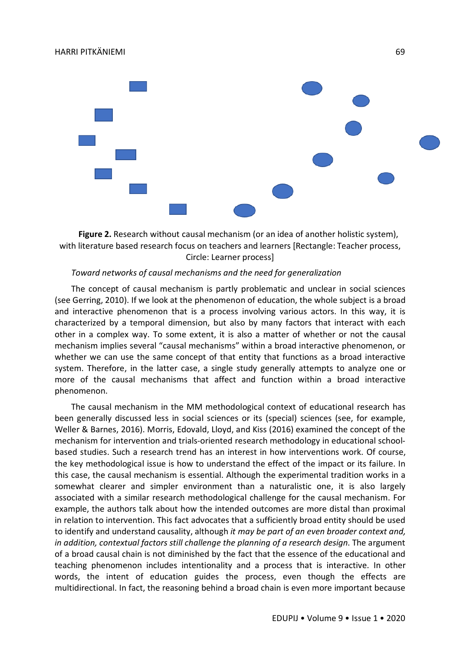

**Figure 2.** Research without causal mechanism (or an idea of another holistic system), with literature based research focus on teachers and learners [Rectangle: Teacher process, Circle: Learner process]

# *Toward networks of causal mechanisms and the need for generalization*

The concept of causal mechanism is partly problematic and unclear in social sciences (see Gerring, 2010). If we look at the phenomenon of education, the whole subject is a broad and interactive phenomenon that is a process involving various actors. In this way, it is characterized by a temporal dimension, but also by many factors that interact with each other in a complex way. To some extent, it is also a matter of whether or not the causal mechanism implies several "causal mechanisms" within a broad interactive phenomenon, or whether we can use the same concept of that entity that functions as a broad interactive system. Therefore, in the latter case, a single study generally attempts to analyze one or more of the causal mechanisms that affect and function within a broad interactive phenomenon.

The causal mechanism in the MM methodological context of educational research has been generally discussed less in social sciences or its (special) sciences (see, for example, Weller & Barnes, 2016). Morris, Edovald, Lloyd, and Kiss (2016) examined the concept of the mechanism for intervention and trials-oriented research methodology in educational schoolbased studies. Such a research trend has an interest in how interventions work. Of course, the key methodological issue is how to understand the effect of the impact or its failure. In this case, the causal mechanism is essential. Although the experimental tradition works in a somewhat clearer and simpler environment than a naturalistic one, it is also largely associated with a similar research methodological challenge for the causal mechanism. For example, the authors talk about how the intended outcomes are more distal than proximal in relation to intervention. This fact advocates that a sufficiently broad entity should be used to identify and understand causality, although *it may be part of an even broader context and, in addition, contextual factors still challenge the planning of a research design.* The argument of a broad causal chain is not diminished by the fact that the essence of the educational and teaching phenomenon includes intentionality and a process that is interactive. In other words, the intent of education guides the process, even though the effects are multidirectional. In fact, the reasoning behind a broad chain is even more important because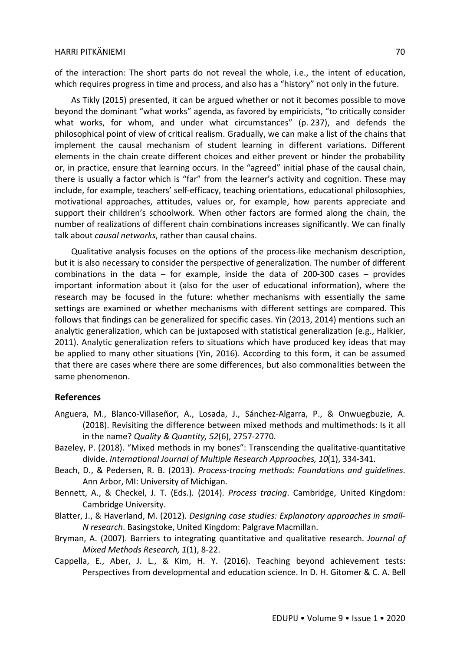of the interaction: The short parts do not reveal the whole, i.e., the intent of education, which requires progress in time and process, and also has a "history" not only in the future.

As Tikly (2015) presented, it can be argued whether or not it becomes possible to move beyond the dominant "what works" agenda, as favored by empiricists, "to critically consider what works, for whom, and under what circumstances" (p. 237), and defends the philosophical point of view of critical realism. Gradually, we can make a list of the chains that implement the causal mechanism of student learning in different variations. Different elements in the chain create different choices and either prevent or hinder the probability or, in practice, ensure that learning occurs. In the "agreed" initial phase of the causal chain, there is usually a factor which is "far" from the learner's activity and cognition. These may include, for example, teachers' self-efficacy, teaching orientations, educational philosophies, motivational approaches, attitudes, values or, for example, how parents appreciate and support their children's schoolwork. When other factors are formed along the chain, the number of realizations of different chain combinations increases significantly. We can finally talk about *causal networks*, rather than causal chains.

Qualitative analysis focuses on the options of the process-like mechanism description, but it is also necessary to consider the perspective of generalization. The number of different combinations in the data  $-$  for example, inside the data of 200-300 cases  $-$  provides important information about it (also for the user of educational information), where the research may be focused in the future: whether mechanisms with essentially the same settings are examined or whether mechanisms with different settings are compared. This follows that findings can be generalized for specific cases. Yin (2013, 2014) mentions such an analytic generalization, which can be juxtaposed with statistical generalization (e.g., Halkier, 2011). Analytic generalization refers to situations which have produced key ideas that may be applied to many other situations (Yin, 2016). According to this form, it can be assumed that there are cases where there are some differences, but also commonalities between the same phenomenon.

## **References**

- Anguera, M., Blanco-Villaseñor, A., Losada, J., Sánchez-Algarra, P., & Onwuegbuzie, A. (2018). Revisiting the difference between mixed methods and multimethods: Is it all in the name? *Quality & Quantity, 52*(6), 2757-2770.
- Bazeley, P. (2018). "Mixed methods in my bones": Transcending the qualitative-quantitative divide. *International Journal of Multiple Research Approaches, 10*(1), 334-341.
- Beach, D., & Pedersen, R. B. (2013). *Process-tracing methods: Foundations and guidelines*. Ann Arbor, MI: University of Michigan.
- Bennett, A., & Checkel, J. T. (Eds.). (2014). *Process tracing*. Cambridge, United Kingdom: Cambridge University.
- Blatter, J., & Haverland, M. (2012). *Designing case studies: Explanatory approaches in small-N research*. Basingstoke, United Kingdom: Palgrave Macmillan.
- Bryman, A. (2007). Barriers to integrating quantitative and qualitative research. *Journal of Mixed Methods Research, 1*(1), 8-22.
- Cappella, E., Aber, J. L., & Kim, H. Y. (2016). Teaching beyond achievement tests: Perspectives from developmental and education science. In D. H. Gitomer & C. A. Bell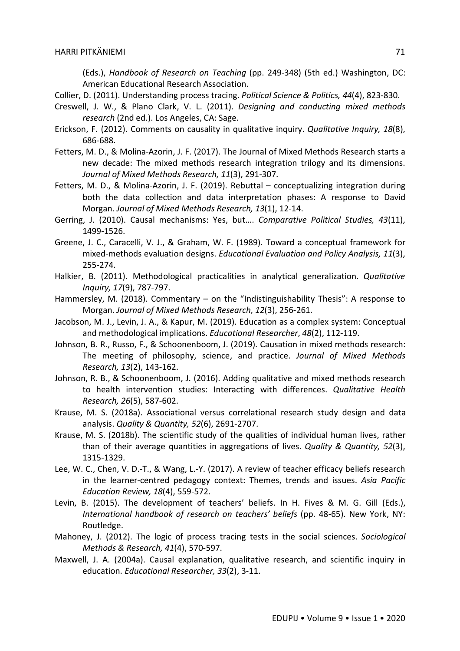(Eds.), *Handbook of Research on Teaching* (pp. 249-348) (5th ed.) Washington, DC: American Educational Research Association.

- Collier, D. (2011). Understanding process tracing. *Political Science & Politics, 44*(4), 823-830.
- Creswell, J. W., & Plano Clark, V. L. (2011). *Designing and conducting mixed methods research* (2nd ed.). Los Angeles, CA: Sage.
- Erickson, F. (2012). Comments on causality in qualitative inquiry. *Qualitative Inquiry, 18*(8), 686-688.
- Fetters, M. D., & Molina-Azorin, J. F. (2017). The Journal of Mixed Methods Research starts a new decade: The mixed methods research integration trilogy and its dimensions. *Journal of Mixed Methods Research, 11*(3), 291-307.
- Fetters, M. D., & Molina-Azorin, J. F. (2019). Rebuttal conceptualizing integration during both the data collection and data interpretation phases: A response to David Morgan. *Journal of Mixed Methods Research, 13*(1), 12-14.
- Gerring, J. (2010). Causal mechanisms: Yes, but…. *Comparative Political Studies, 43*(11), 1499-1526.
- Greene, J. C., Caracelli, V. J., & Graham, W. F. (1989). Toward a conceptual framework for mixed-methods evaluation designs. *Educational Evaluation and Policy Analysis, 11*(3), 255-274.
- Halkier, B. (2011). Methodological practicalities in analytical generalization. *Qualitative Inquiry, 17*(9), 787-797.
- Hammersley, M. (2018). Commentary on the "Indistinguishability Thesis": A response to Morgan. *Journal of Mixed Methods Research, 12*(3), 256-261.
- Jacobson, M. J., Levin, J. A., & Kapur, M. (2019). Education as a complex system: Conceptual and methodological implications. *Educational Researcher*, *48*(2), 112-119.
- Johnson, B. R., Russo, F., & Schoonenboom, J. (2019). Causation in mixed methods research: The meeting of philosophy, science, and practice. *Journal of Mixed Methods Research, 13*(2), 143-162.
- Johnson, R. B., & Schoonenboom, J. (2016). Adding qualitative and mixed methods research to health intervention studies: Interacting with differences. *Qualitative Health Research, 26*(5), 587-602.
- Krause, M. S. (2018a). Associational versus correlational research study design and data analysis. *Quality & Quantity, 52*(6), 2691-2707.
- Krause, M. S. (2018b). The scientific study of the qualities of individual human lives, rather than of their average quantities in aggregations of lives. *Quality & Quantity, 52*(3), 1315-1329.
- Lee, W. C., Chen, V. D.-T., & Wang, L.-Y. (2017). A review of teacher efficacy beliefs research in the learner-centred pedagogy context: Themes, trends and issues. *Asia Pacific Education Review, 18*(4), 559-572.
- Levin, B. (2015). The development of teachers' beliefs. In H. Fives & M. G. Gill (Eds.), *International handbook of research on teachers' beliefs* (pp. 48-65). New York, NY: Routledge.
- Mahoney, J. (2012). The logic of process tracing tests in the social sciences. *Sociological Methods & Research, 41*(4), 570-597.
- Maxwell, J. A. (2004a). Causal explanation, qualitative research, and scientific inquiry in education. *Educational Researcher, 33*(2), 3-11.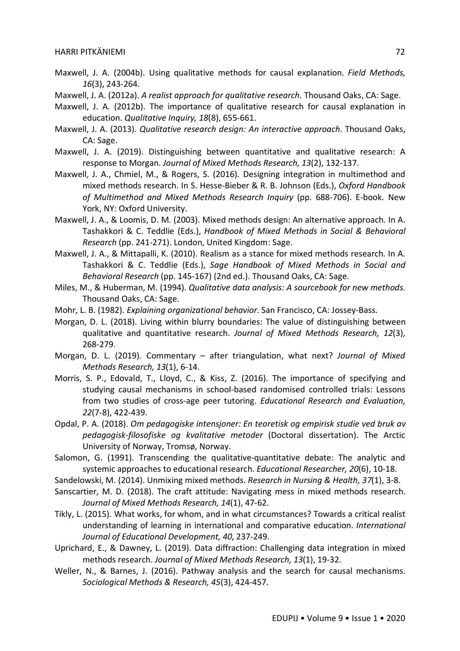- Maxwell, J. A. (2004b). Using qualitative methods for causal explanation. *Field Methods, 16*(3), 243-264.
- Maxwell, J. A. (2012a). *A realist approach for qualitative research*. Thousand Oaks, CA: Sage.
- Maxwell, J. A. (2012b). The importance of qualitative research for causal explanation in education. *Qualitative Inquiry, 18*(8), 655-661.
- Maxwell, J. A. (2013). *Qualitative research design: An interactive approach*. Thousand Oaks, CA: Sage.
- Maxwell, J. A. (2019). Distinguishing between quantitative and qualitative research: A response to Morgan. *Journal of Mixed Methods Research, 13*(2), 132-137.
- Maxwell, J. A., Chmiel, M., & Rogers, S. (2016). Designing integration in multimethod and mixed methods research. In S. Hesse-Bieber & R. B. Johnson (Eds.), *Oxford Handbook of Multimethod and Mixed Methods Research Inquiry* (pp. 688-706). E-book. New York, NY: Oxford University.
- Maxwell, J. A., & Loomis, D. M. (2003). Mixed methods design: An alternative approach. In A. Tashakkori & C. Teddlie (Eds.), *Handbook of Mixed Methods in Social & Behavioral Research* (pp. 241-271). London, United Kingdom: Sage.
- Maxwell, J. A., & Mittapalli, K. (2010). Realism as a stance for mixed methods research. In A. Tashakkori & C. Teddlie (Eds.), *Sage Handbook of Mixed Methods in Social and Behavioral Research* (pp. 145-167) (2nd ed.). Thousand Oaks, CA: Sage.
- Miles, M., & Huberman, M. (1994). *Qualitative data analysis: A sourcebook for new methods*. Thousand Oaks, CA: Sage.
- Mohr, L. B. (1982). *Explaining organizational behavior*. San Francisco, CA: Jossey-Bass.
- Morgan, D. L. (2018). Living within blurry boundaries: The value of distinguishing between qualitative and quantitative research. *Journal of Mixed Methods Research, 12*(3), 268-279.
- Morgan, D. L. (2019). Commentary after triangulation, what next? *Journal of Mixed Methods Research, 13*(1), 6-14.
- Morris, S. P., Edovald, T., Lloyd, C., & Kiss, Z. (2016). The importance of specifying and studying causal mechanisms in school-based randomised controlled trials: Lessons from two studies of cross-age peer tutoring. *Educational Research and Evaluation, 22*(7-8), 422-439.
- Opdal, P. A. (2018). *Om pedagogiske intensjoner: En teoretisk og empirisk studie ved bruk av pedagogisk-filosofiske og kvalitative metoder* (Doctoral dissertation). The Arctic University of Norway, Tromsø, Norway.
- Salomon, G. (1991). Transcending the qualitative-quantitative debate: The analytic and systemic approaches to educational research. *Educational Researcher, 20*(6), 10-18.
- Sandelowski, M. (2014). Unmixing mixed methods. *Research in Nursing & Health, 37*(1), 3-8.
- Sanscartier, M. D. (2018). The craft attitude: Navigating mess in mixed methods research. *Journal of Mixed Methods Research, 14*(1), 47-62.
- Tikly, L. (2015). What works, for whom, and in what circumstances? Towards a critical realist understanding of learning in international and comparative education. *International Journal of Educational Development, 40*, 237-249.
- Uprichard, E., & Dawney, L. (2019). Data diffraction: Challenging data integration in mixed methods research. *Journal of Mixed Methods Research, 13*(1), 19-32.
- Weller, N., & Barnes, J. (2016). Pathway analysis and the search for causal mechanisms. *Sociological Methods & Research, 45*(3), 424-457.